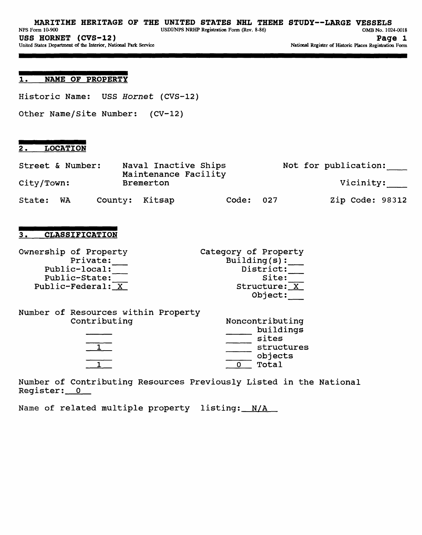### 1. **NAME OF PROPERTY**

Historic Name: USS Hornet (CVS-12)

Other Name/Site Number: (CV-12)

### 2. **LOCATION**

| Street & Number: |           |                |           | Naval Inactive Ships<br>Maintenance Facility |           | Not for publication: |
|------------------|-----------|----------------|-----------|----------------------------------------------|-----------|----------------------|
| City/Town:       |           |                | Bremerton |                                              |           | Vicinity:            |
| State:           | <b>WA</b> | County: Kitsap |           |                                              | Code: 027 | Zip Code: 98312      |

# 3. **CLASSIFICATION**

| Ownership of Property | Category of Property |
|-----------------------|----------------------|
| Private:              | Buiding(s):          |
| Public-local:         | District:            |
| Public-State:         | Site:                |
| Public-Federal: X     | Structure: X         |
|                       | Object:              |

| Number of Resources within Property |  |                    |
|-------------------------------------|--|--------------------|
| Contributing                        |  | Noncontributing    |
|                                     |  | buildings<br>sites |
|                                     |  | structures         |
|                                     |  | objects<br>Total   |

Number of Contributing Resources Previously Listed in the National Register: 0

Name of related multiple property listing: N/A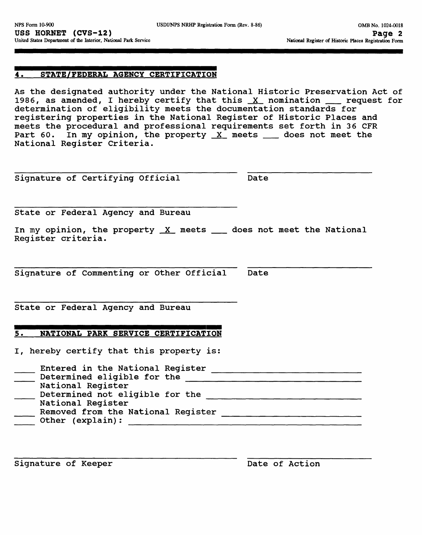### **4. STATE/FEDERAL AGENCY CERTIFICATION**

As the designated authority under the National Historic Preservation Act of 1986, as amended, I hereby certify that this  $X$  nomination  $x$  request for determination of eligibility meets the documentation standards for registering properties in the National Register of Historic Places and meets the procedural and professional requirements set forth in 36 CFR Part 60. In my opinion, the property  $X$  meets  $\_\_$  does not meet the National Register Criteria.

Signature of Certifying Official Date

State or Federal Agency and Bureau

In my opinion, the property  $X$  meets  $\_\_\$  does not meet the National Register criteria.

Signature of Commenting or Other Official Date

State or Federal Agency and Bureau

## **5. NATIONAL PARK SERVICE CERTIFICATION**

I, hereby certify that this property is:

| Entered in the National Register<br>Determined eligible for the |
|-----------------------------------------------------------------|
| National Register                                               |
| Determined not eligible for the                                 |
| National Register                                               |
| Removed from the National Register                              |
| Other (explain):                                                |

Signature of Keeper **Date of Action**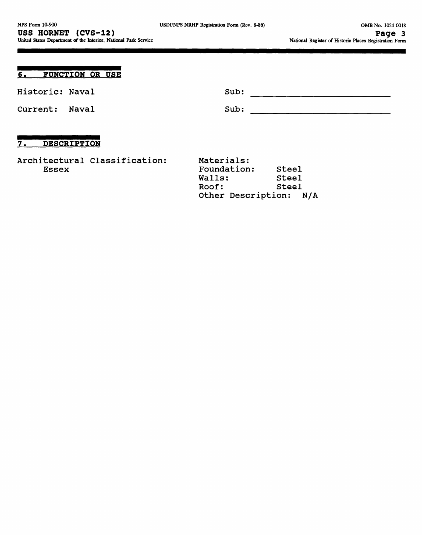| 6.<br>FUNCTION OR USE                         |                                              |                         |  |
|-----------------------------------------------|----------------------------------------------|-------------------------|--|
| Historic: Naval                               | Sub:                                         |                         |  |
| Current:<br>Naval                             | Sub:                                         |                         |  |
| <b>DESCRIPTION</b><br>7.                      |                                              |                         |  |
| Architectural Classification:<br><b>Essex</b> | Materials:<br>Foundation:<br>Walls:<br>Roof: | Steel<br>Steel<br>Steel |  |

Other Description: N/A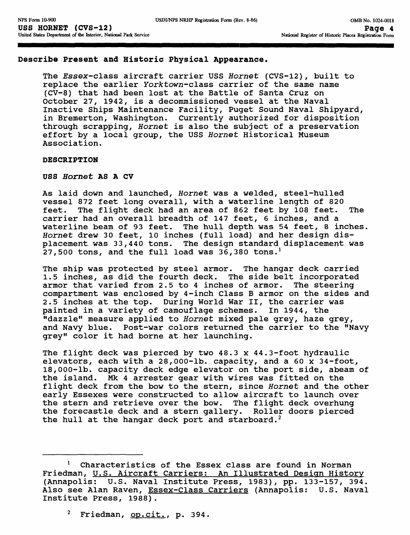### **Describe Present and Historic Physical Appearance.**

The Essex-class aircraft carrier USS Hornet (CVS-12), built to replace the earlier Yorktown-class carrier of the same name (CV-8) that had been lost at the Battle of Santa Cruz on October 27, 1942, is a decommissioned vessel at the Naval Inactive Ships Maintenance Facility, Puget Sound Naval Shipyard, in Bremerton, Washington. Currently authorized for disposition through scrapping, Hornet is also the subject of a preservation effort by a local group, the USS Hornet Historical Museum Association.

### **DESCRIPTION**

### **USS Hornet AS A CV**

As laid down and launched, Hornet was a welded, steel-hulled vessel 872 feet long overall, with a waterline length of 820 feet. The flight deck had an area of 862 feet by 108 feet. The carrier had an overall breadth of 147 feet, 6 inches, and a waterline beam of 93 feet. The hull depth was 54 feet, 8 inches. Hornet drew 30 feet, 10 inches (full load) and her design displacement was 33,440 tons. The design standard displacement was 27,500 tons, and the full load was  $36,380$  tons.<sup>1</sup>

The ship was protected by steel armor. The hangar deck carried 1.5 inches, as did the fourth deck. The side belt incorporated armor that varied from 2.5 to 4 inches of armor. The steering compartment was enclosed by 4-inch Class B armor on the sides and 2.5 inches at the top. During World War II, the carrier was painted in a variety of camouflage schemes. In 1944, the "dazzle" measure applied to Hornet mixed pale grey, haze grey, and Navy blue. Post-war colors returned the carrier to the "Navy grey" color it had borne at her launching.

The flight deck was pierced by two 48.3 x 44.3-foot hydraulic elevators, each with a 28,000-lb. capacity, and a 60 x 34-foot, 18,000-lb. capacity deck edge elevator on the port side, abeam of the island. Mk 4 arrester gear with wires was fitted on the flight deck from the bow to the stern, since Hornet and the other early Essexes were constructed to allow aircraft to launch over the stern and retrieve over the bow. The flight deck overhung the forecastle deck and a stern gallery. Roller doors pierced the hull at the hangar deck port and starboard.<sup>2</sup>

Characteristics of the Essex class are found in Norman Friedman, U.S. Aircraft Carriers; An Illustrated Design History (Annapolis: U.S. Naval Institute Press, 1983), pp. 133-157, 394. Also see Alan Raven, Essex-Class Carriers (Annapolis: U.S. Naval Institute Press, 1988).

 $2$  Friedman,  $op. cit.$ , p. 394.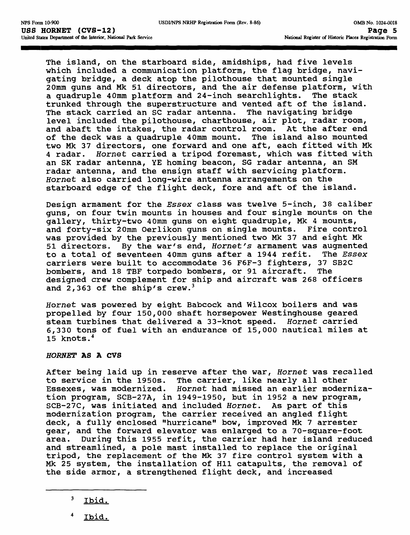The island, on the starboard side, amidships, had five levels which included a communication platform, the flag bridge, navigating bridge, a deck atop the pilothouse that mounted single 20mm guns and Mk 51 directors, and the air defense platform, with a quadruple 40mm platform and 24-inch searchlights. The stack trunked through the superstructure and vented aft of the island. The stack carried an SC radar antenna. The navigating bridge level included the pilothouse, charthouse, air plot, radar room, and abaft the intakes, the radar control room. At the after end of the deck was a quadruple 40mm mount. The island also mounted two Mk 37 directors, one forward and one aft, each fitted with Mk 4 radar. Hornet carried a tripod foremast, which was fitted with an SK radar antenna, YE homing beacon, SG radar antenna, an SM radar antenna, and the ensign staff with servicing platform. Hornet also carried long-wire antenna arrangements on the starboard edge of the flight deck, fore and aft of the island.

Design armament for the Essex class was twelve 5-inch, 38 caliber guns, on four twin mounts in houses and four single mounts on the gallery, thirty-two 40mm guns on eight quadruple, Mk 4 mounts, and forty-six 20mm Oerlikon guns on single mounts. Fire control was provided by the previously mentioned two Mk 37 and eight Mk 51 directors. By the war's end, Hornet's armament was augmented to a total of seventeen 40mm guns after a 1944 refit. The Essex carriers were built to accommodate 36 F6F-3 fighters, 37 SB2C bombers, and 18 TBF torpedo bombers, or 91 aircraft. The designed crew complement for ship and aircraft was 268 officers and 2,363 of the ship's crew.<sup>3</sup>

Hornet was powered by eight Babcock and Wilcox boilers and was propelled by four 150,000 shaft horsepower Westinghouse geared steam turbines that delivered a 33-knot speed. Hornet carried 6,330 tons of fuel with an endurance of 15,000 nautical miles at 15 knots. <sup>4</sup>

### **HORNET AS A CVS**

After being laid up in reserve after the war, Hornet was recalled to service in the 1950s. The carrier, like nearly all other<br>Essexes, was modernized. Hornet had missed an earlier moder Hornet had missed an earlier modernization program, SCB-27A, in 1949-1950, but in 1952 a new program, SCB-27C, was initiated and included Hornet. As part of this modernization program, the carrier received an angled flight deck, a fully enclosed "hurricane" bow, improved Mk 7 arrester gear, and the forward elevator was enlarged to a 70-square-foot area. During this 1955 refit, the carrier had her island reduced and streamlined, a pole mast installed to replace the original tripod, the replacement of the Mk 37 fire control system with a Mk 25 system, the installation of Hll catapults, the removal of the side armor, a strengthened flight deck, and increased

- 3 Ibid.
- Ibid.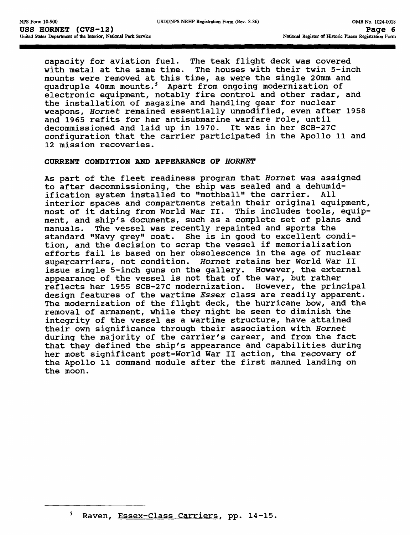capacity for aviation fuel. The teak flight deck was covered with metal at the same time. The houses with their twin 5-inch mounts were removed at this time, as were the single 20mm and quadruple 40mm mounts.<sup>5</sup> Apart from ongoing modernization of electronic equipment, notably fire control and other radar, and the installation of magazine and handling gear for nuclear weapons, Hornet remained essentially unmodified, even after 1958 and 1965 refits for her antisubmarine warfare role, until decommissioned and laid up in 1970. It was in her SCB-27C configuration that the carrier participated in the Apollo 11 and 12 mission recoveries.

### **CURRENT CONDITION AND APPEARANCE OF HORNET**

As part of the fleet readiness program that Hornet was assigned to after decommissioning, the ship was sealed and a dehumidification system installed to "mothball" the carrier. All interior spaces and compartments retain their original equipment, most of it dating from World War II. This includes tools, equipment, and ship's documents, such as a complete set of plans and manuals. The vessel was recently repainted and sports the standard "Navy grey" coat. She is in good to excellent condition, and the decision to scrap the vessel if memorialization efforts fail is based on her obsolescence in the age of nuclear supercarriers, not condition. Hornet retains her World War II issue single 5-inch guns on the gallery. However, the external appearance of the vessel is not that of the war, but rather reflects her 1955 SCB-27C modernization. However, the principal design features of the wartime Essex class are readily apparent. The modernization of the flight deck, the hurricane bow, and the removal of armament, while they might be seen to diminish the integrity of the vessel as a wartime structure, have attained their own significance through their association with Hornet during the majority of the carrier's career, and from the fact that they defined the ship's appearance and capabilities during her most significant post-World War II action, the recovery of the Apollo 11 command module after the first manned landing on the moon.

Raven, Essex-Class Carriers, pp. 14-15.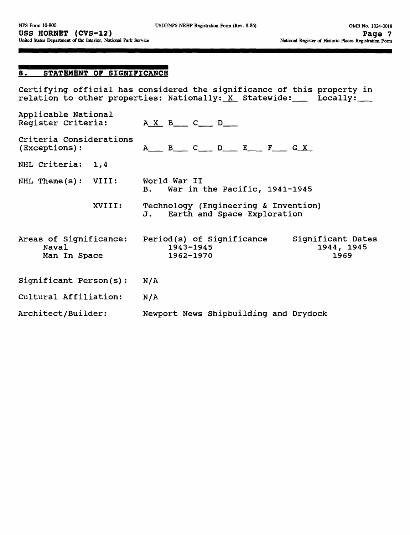# 8. **STATEMENT OF SIGNIFICANCE**

Certifying official has considered the significance of this property in relation to other properties: Nationally:<u> X</u> Statewide:\_\_\_ Locally:\_\_\_

| Applicable National<br>Register Criteria:       | $A \times B$ $C$ $D$                                                                               |
|-------------------------------------------------|----------------------------------------------------------------------------------------------------|
| Criteria Considerations<br>(Exceptions):        | $A$ B C D E F G X                                                                                  |
| NHL Criteria:<br>1,4                            |                                                                                                    |
| NHL Theme(s): VIII:                             | World War II<br>War in the Pacific, 1941-1945<br>$\mathbf{B}$ .                                    |
| XVIII:                                          | Technology (Engineering & Invention)<br>Earth and Space Exploration<br>J.                          |
| Areas of Significance:<br>Naval<br>Man In Space | Period(s) of Significance<br>Significant Dates<br>$1943 - 1945$<br>1944, 1945<br>1962-1970<br>1969 |
| Significant Person(s):                          | N/A                                                                                                |
| Cultural Affiliation:                           | N/A                                                                                                |
| Architect/Builder:                              | Newport News Shipbuilding and Drydock                                                              |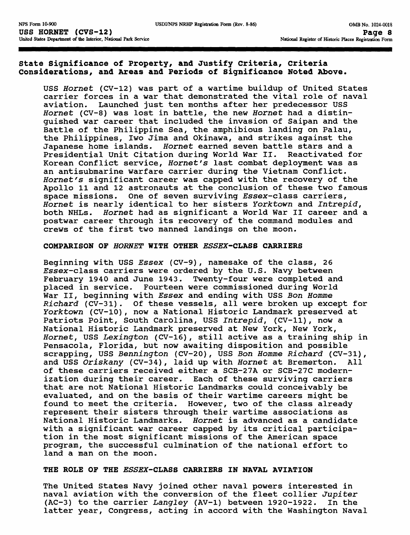# **State Significance of Property, and Justify Criteria, criteria Considerations, and Areas and Periods of Significance Noted Above.**

USS Hornet (CV-12) was part of a wartime buildup of United States carrier forces in a war that demonstrated the vital role of naval<br>aviation. Launched just ten months after her predecessor USS Launched just ten months after her predecessor USS Hornet (CV-8) was lost in battle, the new Hornet had a distinguished war career that included the invasion of Saipan and the Battle of the Philippine Sea, the amphibious landing on Palau, the Philippines, Iwo Jima and Okinawa, and strikes against the Japanese home islands. Hornet earned seven battle stars and a Presidential Unit Citation during World War II. Reactivated for Korean Conflict service, Hornet's last combat deployment was as an antisubmarine warfare carrier during the Vietnam Conflict. Hornet's significant career was capped with the recovery of the Apollo 11 and 12 astronauts at the conclusion of these two famous space missions. One of seven surviving Essex-class carriers, Hornet is nearly identical to her sisters Yorktown and Intrepid, both NHLs. Hornet had as significant a World War II career and a postwar career through its recovery of the command modules and crews of the first two manned landings on the moon.

### **COMPARISON OF HORNET WITH OTHER ESSEX-CLASS CARRIERS**

Beginning with USS Essex (CV-9), namesake of the class, 26 Essex-class carriers were ordered by the U.S. Navy between February 1940 and June 1943. Twenty-four were completed and placed in service. Fourteen were commissioned during World War II, beginning with Essex and ending with USS Bon Homme Richard (CV-31). Of these vessels, all were broken up except for Yorktown (CV-10), now a National Historic Landmark preserved at Patriots Point, South Carolina, USS Intrepid, (CV-11), now a National Historic Landmark preserved at New York, New York, Hornet, USS Lexington (CV-16), still active as a training ship in Pensacola, Florida, but now awaiting disposition and possible scrapping, USS Bennington (CV-20), USS Bon Homme Richard (CV-31), and USS Oriskany (CV-34), laid up with Hornet at Bremerton. All of these carriers received either a SCB-27A or SCB-27C modernization during their career. Each of these surviving carriers that are not National Historic Landmarks could conceivably be evaluated, and on the basis of their wartime careers might be found to meet the criteria. However, two of the class already represent their sisters through their wartime associations as National Historic Landmarks. Hornet is advanced as a candidate with a significant war career capped by its critical participation in the most significant missions of the American space program, the successful culmination of the national effort to land a man on the moon.

#### **THE ROLE OF THE ESSEX-CLASS CARRIERS IN NAVAL AVIATION**

The United States Navy joined other naval powers interested in naval aviation with the conversion of the fleet collier Jupiter (AC-3) to the carrier Langley (AV-1) between 1920-1922. In the latter year, Congress, acting in accord with the Washington Naval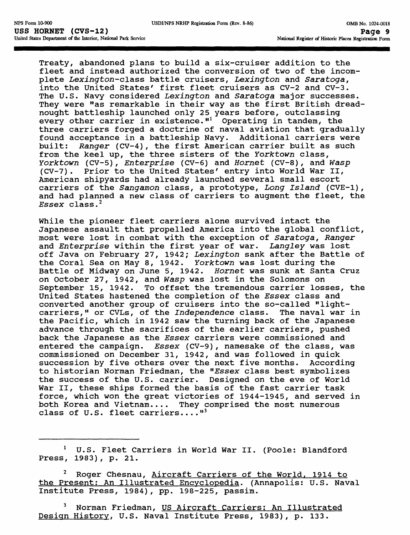Treaty, abandoned plans to build a six-cruiser addition to the fleet and instead authorized the conversion of two of the incomplete Lexington-class battle cruisers, Lexington and Saratoga, into the United States' first fleet cruisers as CV-2 and CV-3. The U.S. Navy considered Lexington and Saratoga major successes. They were "as remarkable in their way as the first British dreadnought battleship launched only 25 years before, outclassing every other carrier in existence."<sup>1</sup> Operating in tandem, the three carriers forged a doctrine of naval aviation that gradually found acceptance in a battleship Navy. Additional carriers were built: Ranger (CV-4), the first American carrier built as such from the keel up, the three sisters of the Yorktown class, Yorktown (CV-5), Enterprise (CV-6) and Hornet (CV-8), and Wasp (CV-7). Prior to the United States' entry into World War II, American shipyards had already launched several small escort carriers of the Sangamon class, a prototype, Long Island (CVE-1), and had planned a new class of carriers to augment the fleet, the  $Essex$  class.<sup>2</sup>

While the pioneer fleet carriers alone survived intact the Japanese assault that propelled America into the global conflict, most were lost in combat with the exception of Saratoga, Ranger and Enterprise within the first year of war. Langley was lost off Java on February 27, 1942; Lexington sank after the Battle of the Coral Sea on May 8, 1942. Yorktown was lost during the Battle of Midway on June 5, 1942. Hornet was sunk at Santa Cruz on October 27, 1942, and Wasp was lost in the Solomons on September 15, 1942. To offset the tremendous carrier losses, the United States hastened the completion of the Essex class and converted another group of cruisers into the so-called "lightcarriers," or CVLs, of the Independence class. The naval war in the Pacific, which in 1942 saw the turning back of the Japanese advance through the sacrifices of the earlier carriers, pushed back the Japanese as the Essex carriers were commissioned and entered the campaign. Essex (CV-9), namesake of the class, was commissioned on December 31, 1942, and was followed in quick succession by five others over the next five months. According to historian Norman Friedman, the "Essex class best symbolizes the success of the U.S. carrier. Designed on the eve of World War II, these ships formed the basis of the fast carrier task force, which won the great victories of 1944-1945, and served in both Korea and Vietnam.... They comprised the most numerous class of U.S. fleet carriers.... $^{\mathfrak{n}3}$ 

<sup>1</sup> U.S. Fleet Carriers in World War II. (Poole: Blandford Press, 1983), p. 21.

Roger Chesnau, Aircraft Carriers of the World, 1914 to the Present; An Illustrated Encyclopedia. (Annapolis: U.S. Naval Institute Press, 1984), pp. 198-225, passim.

Norman Friedman, US Aircraft Carriers: An Illustrated Design History. U.S. Naval Institute Press, 1983), p. 133.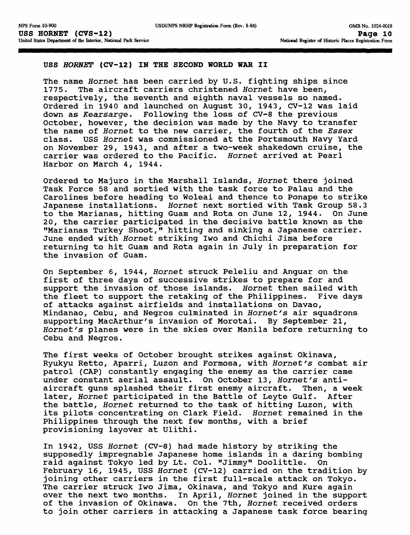### **USS HORNET (CV-12) IN THE SECOND WORLD WAR II**

The name Hornet has been carried by U.S. fighting ships since 1775. The aircraft carriers christened Hornet have been, respectively, the seventh and eighth naval vessels so named. Ordered in 1940 and launched on August 30, 1943, CV-12 was laid down as Kearsarge. Following the loss of CV-8 the previous October, however, the decision was made by the Navy to transfer the name of Hornet to the new carrier, the fourth of the Essex class. USS Hornet was commissioned at the Portsmouth Navy Yard on November 29, 1943, and after a two-week shakedown cruise, the carrier was ordered to the Pacific. Hornet arrived at Pearl Harbor on March 4, 1944.

Ordered to Majuro in the Marshall Islands, Hornet there joined Task Force 58 and sortied with the task force to Palau and the Carolines before heading to Woleai and thence to Ponape to strike Japanese installations. Hornet next sortied with Task Group 58.3 to the Marianas, hitting Guam and Rota on June 12, 1944. On June 20, the carrier participated in the decisive battle known as the "Marianas Turkey Shoot," hitting and sinking a Japanese carrier. June ended with Hornet striking Iwo and Chichi Jima before returning to hit Guam and Rota again in July in preparation for the invasion of Guam.

On September 6, 1944, Hornet struck Peleliu and Anguar on the first of three days of successive strikes to prepare for and support the invasion of those islands. Hornet then sailed with the fleet to support the retaking of the Philippines. Five days of attacks against airfields and installations on Davao, Mindanao, Cebu, and Negros culminated in Hornet's air squadrons supporting MacArthur's invasion of Morotai. By September 21, Hornet's planes were in the skies over Manila before returning to Cebu and Negros.

The first weeks of October brought strikes against Okinawa, Ryukyu Retto, Aparri, Luzon and Formosa, with Hornet's combat air patrol (CAP) constantly engaging the enemy as the carrier came under constant aerial assault. On October 13, Hornet's antiaircraft guns splashed their first enemy aircraft. Then, a week later, Hornet participated in the Battle of Leyte Gulf. After the battle, Hornet returned to the task of hitting Luzon, with its pilots concentrating on Clark Field. Hornet remained in the Philippines through the next few months, with a brief provisioning layover at Ulithi.

In 1942, USS Hornet (CV-8) had made history by striking the supposedly impregnable Japanese home islands in a daring bombing raid against Tokyo led by Lt. Col. "Jimmy" Doolittle. On February 16, 1945, USS Hornet (CV-12) carried on the tradition by joining other carriers in the first full-scale attack on Tokyo. The carrier struck Iwo Jima, Okinawa, and Tokyo and Kure again over the next two months. In April, Hornet joined in the support of the invasion of Okinawa. On the 7th, Hornet received orders to join other carriers in attacking a Japanese task force bearing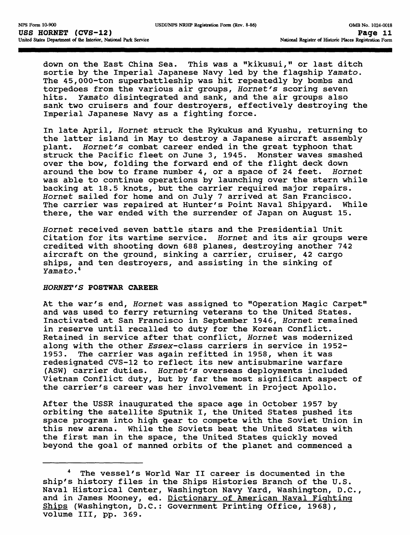down on the East China Sea. This was a "kikusui," or last ditch sortie by the Imperial Japanese Navy led by the flagship Yamato. The 45,000-ton superbattleship was hit repeatedly by bombs and torpedoes from the various air groups, Hornet's scoring seven<br>hits. Yamato disintegrated and sank, and the air groups also Yamato disintegrated and sank, and the air groups also sank two cruisers and four destroyers, effectively destroying the Imperial Japanese Navy as a fighting force.

In late April, Hornet struck the Rykukus and Kyushu, returning to the latter island in May to destroy a Japanese aircraft assembly plant. Hornet's combat career ended in the great typhoon that struck the Pacific fleet on June 3, 1945. Monster waves smashed over the bow, folding the forward end of the flight deck down around the bow to frame number 4, or a space of 24 feet. Hornet was able to continue operations by launching over the stern while backing at 18.5 knots, but the carrier required major repairs. Hornet sailed for home and on July 7 arrived at San Francisco. The carrier was repaired at Hunter's Point Naval Shipyard. While there, the war ended with the surrender of Japan on August 15.

Hornet received seven battle stars and the Presidential Unit Citation for its wartime service. Hornet and its air groups were credited with shooting down 688 planes, destroying another 742 aircraft on the ground, sinking a carrier, cruiser, 42 cargo ships, and ten destroyers, and assisting in the sinking of Yamato. <sup>4</sup>

### **HORNET'S POSTWAR CAREER**

At the war's end, Hornet was assigned to "Operation Magic Carpet" and was used to ferry returning veterans to the United States. Inactivated at San Francisco in September 1946, Hornet remained in reserve until recalled to duty for the Korean Conflict. Retained in service after that conflict, Hornet was modernized along with the other Essex-class carriers in service in 1952-1953. The carrier was again refitted in 1958, when it was redesignated CVS-12 to reflect its new antisubmarine warfare (ASW) carrier duties. Hornet's overseas deployments included Vietnam Conflict duty, but by far the most significant aspect of the carrier's career was her involvement in Project Apollo.

After the USSR inaugurated the space age in October 1957 by orbiting the satellite Sputnik I, the United States pushed its space program into high gear to compete with the Soviet Union in this new arena. While the Soviets beat the United States with the first man in the space, the United States quickly moved beyond the goal of manned orbits of the planet and commenced a

The vessel's World War II career is documented in the ship's history files in the Ships Histories Branch of the U.S. Naval Historical Center, Washington Navy Yard, Washington, D.C and in James Mooney, ed. Dictionary of American Naval Fighting Ships (Washington, D.C.: Government Printing Office, 1968), volume III, pp. 369.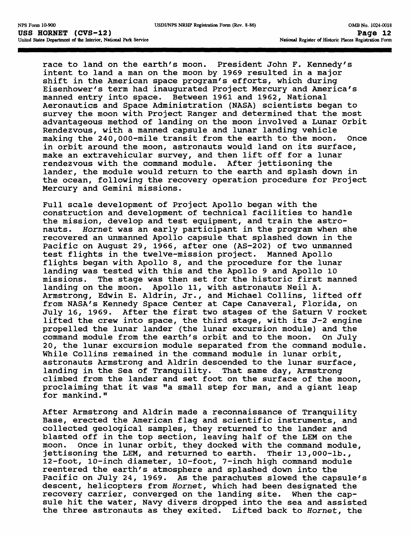race to land on the earth's moon. President John F. Kennedy's intent to land a man on the moon by 1969 resulted in a major shift in the American space program's efforts, which during Eisenhower's term had inaugurated Project Mercury and America's manned entry into space. Between 1961 and 1962, National Aeronautics and Space Administration (NASA) scientists began to survey the moon with Project Ranger and determined that the most advantageous method of landing on the moon involved a Lunar Orbit Rendezvous, with a manned capsule and lunar landing vehicle making the 240,000-mile transit from the earth to the moon. Once in orbit around the moon, astronauts would land on its surface, make an extravehicular survey, and then lift off for a lunar rendezvous with the command module. After jettisoning the lander, the module would return to the earth and splash down in the ocean, following the recovery operation procedure for Project Mercury and Gemini missions.

Full scale development of Project Apollo began with the construction and development of technical facilities to handle the mission, develop and test equipment, and train the astronauts. Hornet was an early participant in the program when she recovered an unmanned Apollo capsule that splashed down in the Pacific on August 29, 1966, after one (AS-202) of two unmanned test flights in the twelve-mission project. Manned Apollo flights began with Apollo 8, and the procedure for the lunar landing was tested with this and the Apollo 9 and Apollo 10 missions. The stage was then set for the historic first manned landing on the moon. Apollo 11, with astronauts Neil A. Armstrong, Edwin E. Aldrin, Jr., and Michael Collins, lifted off from NASA's Kennedy Space Center at Cape Canaveral, Florida, on July 16, 1969. After the first two stages of the Saturn V rocket lifted the crew into space, the third stage, with its J-2 engine propelled the lunar lander (the lunar excursion module) and the command module from the earth's orbit and to the moon. On July 20, the lunar excursion module separated from the command module. While Collins remained in the command module in lunar orbit, astronauts Armstrong and Aldrin descended to the lunar surface, landing in the Sea of Tranquility. That same day, Armstrong climbed from the lander and set foot on the surface of the moon, proclaiming that it was "a small step for man, and a giant leap for mankind."

After Armstrong and Aldrin made a reconnaissance of Tranquility Base, erected the American flag and scientific instruments, and collected geological samples, they returned to the lander and blasted off in the top section, leaving half of the LEM on the moon. Once in lunar orbit, they docked with the command module, jettisoning the LEM, and returned to earth. Their 13,000-lb., 12-foot, 10-inch diameter, 10-foot, 7-inch high command module reentered the earth's atmosphere and splashed down into the Pacific on July 24, 1969. As the parachutes slowed the capsule's descent, helicopters from Hornet, which had been designated the recovery carrier, converged on the landing site. When the capsule hit the water, Navy divers dropped into the sea and assisted the three astronauts as they exited. Lifted back to Hornet, the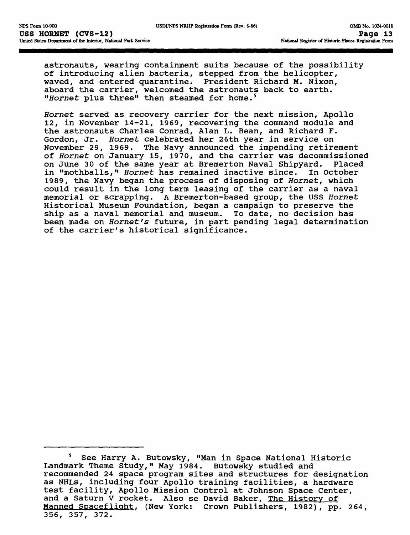astronauts, wearing containment suits because of the possibility of introducing alien bacteria, stepped from the helicopter, waved, and entered quarantine. President Richard M. Nixon, aboard the carrier, welcomed the astronauts back to earth. "Hornet plus three" then steamed for home.<sup>5</sup>

Hornet served as recovery carrier for the next mission, Apollo 12, in November 14-21, 1969, recovering the command module and the astronauts Charles Conrad, Alan L. Bean, and Richard F. Gordon, Jr. Hornet celebrated her 26th year in service on November 29, 1969. The Navy announced the impending retirement of Hornet on January 15, 1970, and the carrier was decommissioned on June 30 of the same year at Bremerton Naval Shipyard. Placed<br>in "mothballs," Hornet has remained inactive since. In October in "mothballs," Hornet has remained inactive since. 1989, the Navy began the process of disposing of Hornet, which could result in the long term leasing of the carrier as a naval memorial or scrapping. A Bremerton-based group, the USS Hornet Historical Museum Foundation, began a campaign to preserve the ship as a naval memorial and museum. To date, no decision has been made on Hornet's future, in part pending legal determination of the carrier's historical significance.

<sup>&</sup>lt;sup>5</sup> See Harry A. Butowsky, "Man in Space National Historic Landmark Theme Study," May 1984. Butowsky studied and recommended 24 space program sites and structures for designation as NHLs, including four Apollo training facilities, a hardware test facility, Apollo Mission Control at Johnson Space Center, and a Saturn V rocket. Also se David Baker, The History of Manned Spaceflight, (New York: Crown Publishers, 1982), pp. 264, 356, 357, 372.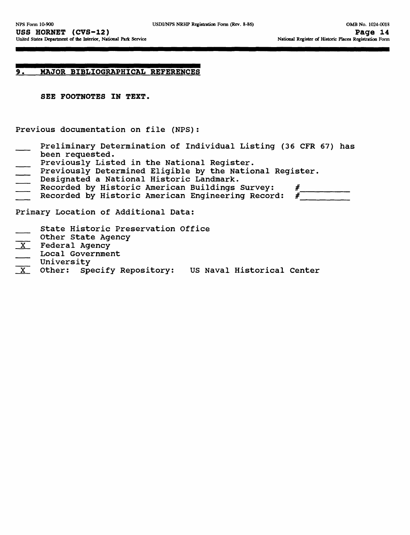## **9. MAJOR BIBLIOGRAPHICAL REFERENCES**

**SEE FOOTNOTES IN TEXT.**

Previous documentation on file (NFS):

- Preliminary Determination of Individual Listing (36 CFR 67) has been requested.
- Previously Listed in the National Register.
- Previously Determined Eligible by the National Register.
- Designated a National Historic Landmark.
- Recorded by Historic American Buildings Survey:  $\#$ <br>Recorded by Historic American Engineering Record:  $\#$
- Recorded by Historic American Engineering Record:

Primary Location of Additional Data:

- State Historic Preservation Office
- Other State Agency
- 
- X Federal Agency<br>
Local Government Local Government<br>University
- 
- X Other: Specify Repository: US Naval Historical Center